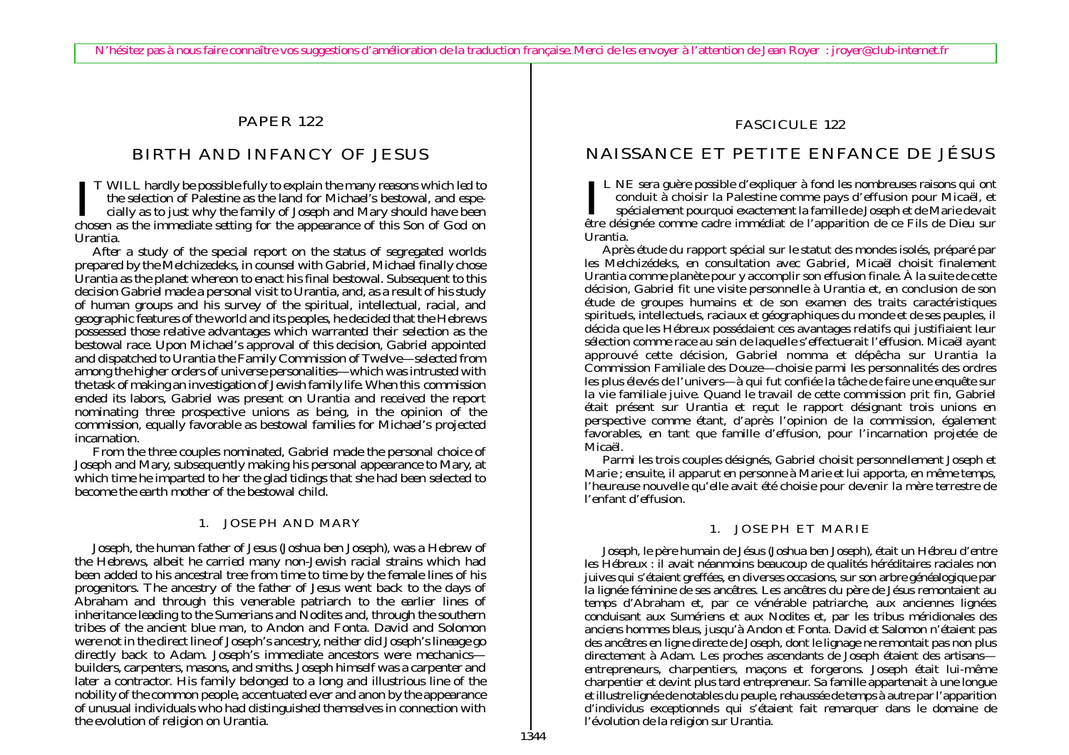# PAPER 122

# BIRTH AND INFANCY OF JESUS

IT WILL hardly be possible fully to explain the many reasons which led to the selection of Palestine as the land for Michael's bestowal, and espe- cially as to just why the family of Joseph and Mary should have been chosen as the immediate setting for the appearance of this Son of God on Urantia.

After a study of the special report on the status of segregated worlds prepared by the Melchizedeks, in counsel with Gabriel, Michael finally chose Urantia as the planet whereon to enact his final bestowal. Subsequent to this decision Gabriel made a personal visit to Urantia, and, as a result of his study of human groups and his survey of the spiritual, intellectual, racial, and geographic features of the world and its peoples, he decided that the Hebrews possessed those relative advantages which warranted their selection as the bestowal race. Upon Michael's approval of this decision, Gabriel appointed and dispatched to Urantia the Family Commission of Twelve—selected from among the higher orders of universe personalities—which was intrusted with the task of making an investigation of Jewish family life. When this commission ended its labors, Gabriel was present on Urantia and received the report nominating three prospective unions as being, in the opinion of the commission, equally favorable as bestowal families for Michael's projected incarnation.

From the three couples nominated, Gabriel made the personal choice of Joseph and Mary, subsequently making his personal appearance to Mary, at which time he imparted to her the glad tidings that she had been selected to become the earth mother of the bestowal child.

## 1. JOSEPH AND MARY

Joseph, the human father of Jesus (Joshua ben Joseph), was a Hebrew of the Hebrews, albeit he carried many non-Jewish racial strains which had been added to his ancestral tree from time to time by the female lines of his progenitors. The ancestry of the father of Jesus went back to the days of Abraham and through this venerable patriarch to the earlier lines of inheritance leading to the Sumerians and Nodites and, through the southern tribes of the ancient blue man, to Andon and Fonta. David and Solomon were not in the direct line of Joseph's ancestry, neither did Joseph's lineage go directly back to Adam. Joseph's immediate ancestors were mechanics builders, carpenters, masons, and smiths. Joseph himself was a carpenter and later a contractor. His family belonged to a long and illustrious line of the nobility of the common people, accentuated ever and anon by the appearance of unusual individuals who had distinguished themselves in connection with the evolution of religion on Urantia.

# FASCICULE 122

# NAISSANCE ET PETITE ENFANCE DE JÉSUS

IL NE sera guère possible d'expliquer à fond les nombreuses raisons qui ont conduit à choisir la Palestine comme pays d'effusion pour Micaël, et spécialement pourquoi exactement la famille de Joseph et de Marie devait être désignée comme cadre immédiat de l'apparition de ce Fils de Dieu sur Urantia.

Après étude du rapport spécial sur le statut des mondes isolés, préparé par les Melchizédeks, en consultation avec Gabriel, Micaël choisit finalement Urantia comme planète pour y accomplir son effusion finale. À la suite de cette décision, Gabriel fit une visite personnelle à Urantia et, en conclusion de son étude de groupes humains et de son examen des traits caractéristiques spirituels, intellectuels, raciaux et géographiques du monde et de ses peuples, il décida que les Hébreux possédaient ces avantages relatifs qui justifiaient leur sélection comme race au sein de laquelle s'effectuerait l'effusion. Micaël ayant approuvé cette décision, Gabriel nomma et dépêcha sur Urantia la Commission Familiale des Douze—choisie parmi les personnalités des ordres les plus élevés de l'univers—à qui fut confiée la tâche de faire une enquête sur la vie familiale juive. Quand le travail de cette commission prit fin, Gabriel était présent sur Urantia et reçut le rapport désignant trois unions en perspective comme étant, d'après l'opinion de la commission, également favorables, en tant que famille d'effusion, pour l'incarnation projetée de Micaël.

Parmi les trois couples désignés, Gabriel choisit personnellement Joseph et Marie ; ensuite, il apparut en personne à Marie et lui apporta, en même temps, l'heureuse nouvelle qu'elle avait été choisie pour devenir la mère terrestre de l'enfant d'effusion.

### 1. JOSEPH ET MARIE

Joseph, le père humain de Jésus (Joshua ben Joseph), était un Hébreu d'entre les Hébreux : il avait néanmoins beaucoup de qualités héréditaires raciales non juives qui s'étaient greffées, en diverses occasions, sur son arbre généalogique par la lignée féminine de ses ancêtres. Les ancêtres du père de Jésus remontaient au temps d'Abraham et, par ce vénérable patriarche, aux anciennes lignées conduisant aux Sumériens et aux Nodites et, par les tribus méridionales des anciens hommes bleus, jusqu'à Andon et Fonta. David et Salomon n'étaient pas des ancêtres en ligne directe de Joseph, dont le lignage ne remontait pas non plus directement à Adam. Les proches ascendants de Joseph étaient des artisans entrepreneurs, charpentiers, maçons et forgerons. Joseph était lui-même charpentier et devint plus tard entrepreneur. Sa famille appartenait à une longue et illustre lignée de notables du peuple, rehaussée de temps à autre par l'apparition d'individus exceptionnels qui s'étaient fait remarquer dans le domaine de l'évolution de la religion sur Urantia.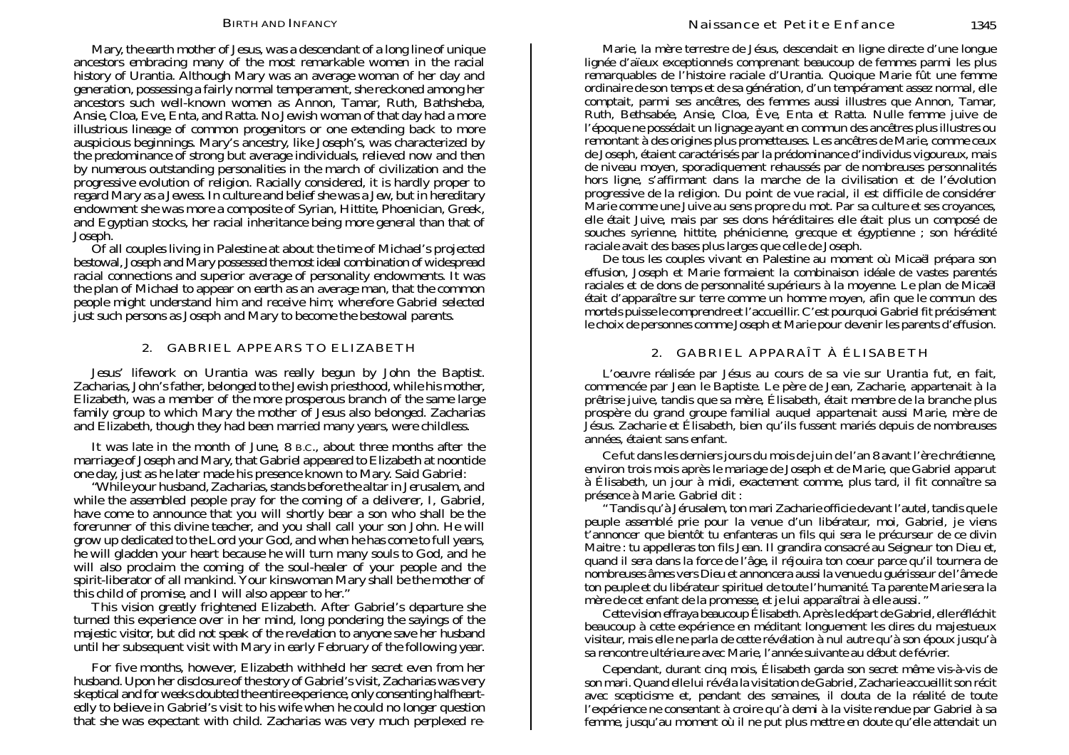Mary, the earth mother of Jesus, was a descendant of a long line of unique ancestors embracing many of the most remarkable women in the racial history of Urantia. Although Mary was an average woman of her day and generation, possessing a fairly normal temperament, she reckoned among her ancestors such well-known women as Annon, Tamar, Ruth, Bathsheba, Ansie, Cloa, Eve, Enta, and Ratta. No Jewish woman of that day had a more illustrious lineage of common progenitors or one extending back to more auspicious beginnings. Mary's ancestry, like Joseph's, was characterized by the predominance of strong but average individuals, relieved now and then by numerous outstanding personalities in the march of civilization and the progressive evolution of religion. Racially considered, it is hardly proper to regard Mary as a Jewess. In culture and belief she was a Jew, but in hereditary endowment she was more a composite of Syrian, Hittite, Phoenician, Greek, and Egyptian stocks, her racial inheritance being more general than that of Joseph.

Of all couples living in Palestine at about the time of Michael's projected bestowal, Joseph and Mary possessed the most ideal combination of widespread racial connections and superior average of personality endowments. It was the plan of Michael to appear on earth as an *average* man, that the common people might understand him and receive him; wherefore Gabriel selected just such persons as Joseph and Mary to become the bestowal parents.

### 2. GABRIEL APPEARS TO ELIZABETH

Jesus' lifework on Urantia was really begun by John the Baptist. Zacharias, John's father, belonged to the Jewish priesthood, while his mother, Elizabeth, was a member of the more prosperous branch of the same large family group to which Mary the mother of Jesus also belonged. Zacharias and Elizabeth, though they had been married many years, were childless.

It was late in the month of June, 8 B.C., about three months after the marriage of Joseph and Mary, that Gabriel appeared to Elizabeth at noontide one day, just as he later made his presence known to Mary. Said Gabriel:

"While your husband, Zacharias, stands before the altar in Jerusalem, and while the assembled people pray for the coming of a deliverer, I, Gabriel, have come to announce that you will shortly bear a son who shall be the forerunner of this divine teacher, and you shall call your son John. He will grow up dedicated to the Lord your God, and when he has come to full years, he will gladden your heart because he will turn many souls to God, and he will also proclaim the coming of the soul-healer of your people and the spirit-liberator of all mankind. Your kinswoman Mary shall be the mother of this child of promise, and I will also appear to her."

This vision greatly frightened Elizabeth. After Gabriel's departure she turned this experience over in her mind, long pondering the sayings of the majestic visitor, but did not speak of the revelation to anyone save her husband until her subsequent visit with Mary in early February of the following year.

For five months, however, Elizabeth withheld her secret even from her husband. Upon her disclosure of the story of Gabriel's visit, Zacharias was very skeptical and for weeks doubted the entire experience, only consenting halfheartedly to believe in Gabriel's visit to his wife when he could no longer question that she was expectant with child. Zacharias was very much perplexed re-

Marie, la mère terrestre de Jésus, descendait en ligne directe d'une longue lignée d'aïeux exceptionnels comprenant beaucoup de femmes parmi les plus remarquables de l'histoire raciale d'Urantia. Quoique Marie fût une femme ordinaire de son temps et de sa génération, d'un tempérament assez normal, elle comptait, parmi ses ancêtres, des femmes aussi illustres que Annon, Tamar, Ruth, Bethsabée, Ansie, Cloa, Ève, Enta et Ratta. Nulle femme juive de l'époque ne possédait un lignage ayant en commun des ancêtres plus illustres ou remontant à des origines plus prometteuses. Les ancêtres de Marie, comme ceux de Joseph, étaient caractérisés par la prédominance d'individus vigoureux, mais de niveau moyen, sporadiquement rehaussés par de nombreuses personnalités hors ligne, s'affirmant dans la marche de la civilisation et de l'évolution progressive de la religion. Du point de vue racial, il est difficile de considérer Marie comme une Juive au sens propre du mot. Par sa culture et ses croyances, elle était Juive, mais par ses dons héréditaires elle était plus un composé de souches syrienne, hittite, phénicienne, grecque et égyptienne ; son hérédité raciale avait des bases plus larges que celle de Joseph.

De tous les couples vivant en Palestine au moment où Micaël prépara son effusion, Joseph et Marie formaient la combinaison idéale de vastes parentés raciales et de dons de personnalité supérieurs à la moyenne. Le plan de Micaël était d'apparaître sur terre comme un homme *moyen*, afin que le commun des mortels puisse le comprendre et l'accueillir. C'est pourquoi Gabriel fit précisément le choix de personnes comme Joseph et Marie pour devenir les parents d'effusion.

# 2. GABRIEL APPARAÎT À ÉLISABETH

L'oeuvre réalisée par Jésus au cours de sa vie sur Urantia fut, en fait, commencée par Jean le Baptiste. Le père de Jean, Zacharie, appartenait à la prêtrise juive, tandis que sa mère, Élisabeth, était membre de la branche plus prospère du grand groupe familial auquel appartenait aussi Marie, mère de Jésus. Zacharie et Élisabeth, bien qu'ils fussent mariés depuis de nombreuses années, étaient sans enfant.

Ce fut dans les derniers jours du mois de juin de l'an 8 avant l'ère chrétienne, environ trois mois après le mariage de Joseph et de Marie, que Gabriel apparut à Élisabeth, un jour à midi, exactement comme, plus tard, il fit connaître sa présence à Marie. Gabriel dit :

" Tandis qu'à Jérusalem, ton mari Zacharie officie devant l'autel, tandis que le peuple assemblé prie pour la venue d'un libérateur, moi, Gabriel, je viens t'annoncer que bientôt tu enfanteras un fils qui sera le précurseur de ce divin Maitre : tu appelleras ton fils Jean. Il grandira consacré au Seigneur ton Dieu et, quand il sera dans la force de l'âge, il réjouira ton coeur parce qu'il tournera de nombreuses âmes vers Dieu et annoncera aussi la venue du guérisseur de l'âme de ton peuple et du libérateur spirituel de toute l'humanité. Ta parente Marie sera la

mère de cet enfant de la promesse, et je lui apparaîtrai à elle aussi. " Cette vision effraya beaucoup Élisabeth. Après le départ de Gabriel, elle réfléchit beaucoup à cette expérience en méditant longuement les dires du majestueux visiteur, mais elle ne parla de cette révélation à nul autre qu'à son époux jusqu'à sa rencontre ultérieure avec Marie, l'année suivante au début de février.

Cependant, durant cinq mois, Élisabeth garda son secret même vis-à-vis de son mari. Quand elle lui révéla la visitation de Gabriel, Zacharie accueillit son récit avec scepticisme et, pendant des semaines, il douta de la réalité de toute l'expérience ne consentant à croire qu'à demi à la visite rendue par Gabriel à sa femme, jusqu'au moment où il ne put plus mettre en doute qu'elle attendait un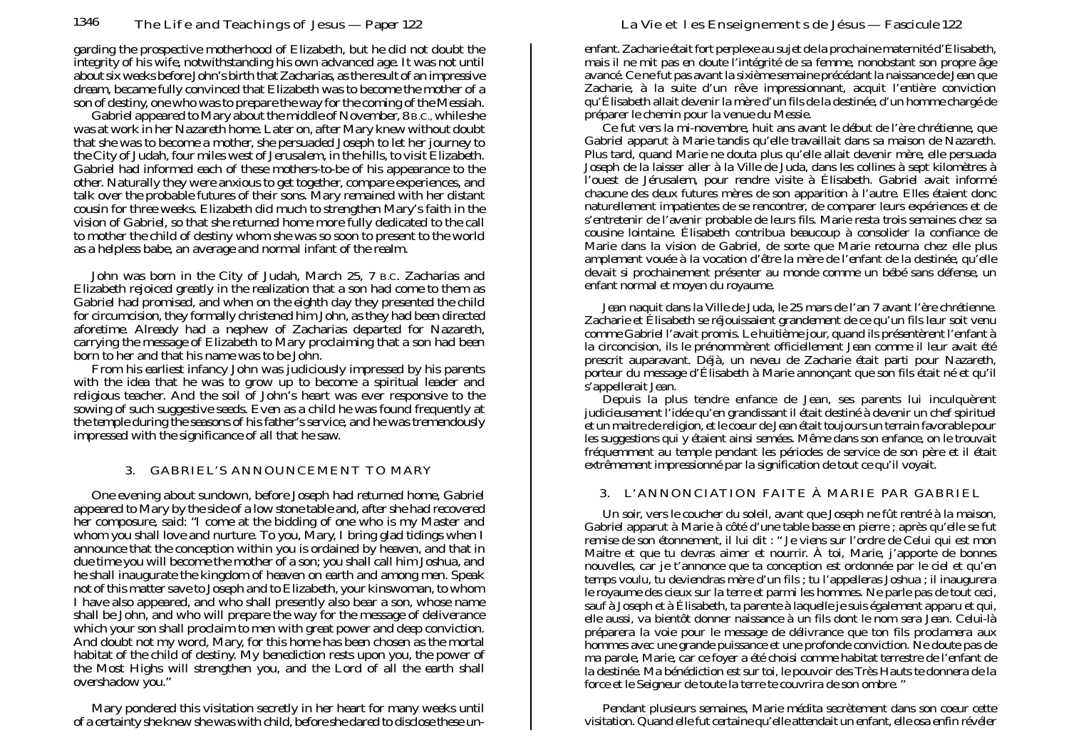garding the prospective motherhood of Elizabeth, but he did not doubt the integrity of his wife, notwithstanding his own advanced age. It was not until about six weeks before John's birth that Zacharias, as the result of an impressive dream, became fully convinced that Elizabeth was to become the mother of a son of destiny, one who was to prepare the way for the coming of the Messiah.

Gabriel appeared to Mary about the middle of November, 8 B.C., while she was at work in her Nazareth home. Later on, after Mary knew without doubt that she was to become a mother, she persuaded Joseph to let her journey to the City of Judah, four miles west of Jerusalem, in the hills, to visit Elizabeth. Gabriel had informed each of these mothers-to-be of his appearance to the other. Naturally they were anxious to get together, compare experiences, and talk over the probable futures of their sons. Mary remained with her distant cousin for three weeks. Elizabeth did much to strengthen Mary's faith in the vision of Gabriel, so that she returned home more fully dedicated to the call to mother the child of destiny whom she was so soon to present to the world as a helpless babe, an average and normal infant of the realm.

John was born in the City of Judah, March 25, 7 B.C. Zacharias and Elizabeth rejoiced greatly in the realization that a son had come to them as Gabriel had promised, and when on the eighth day they presented the child for circumcision, they formally christened him John, as they had been directed aforetime. Already had a nephew of Zacharias departed for Nazareth, carrying the message of Elizabeth to Mary proclaiming that a son had been born to her and that his name was to be John.

From his earliest infancy John was judiciously impressed by his parents with the idea that he was to grow up to become a spiritual leader and religious teacher. And the soil of John's heart was ever responsive to the sowing of such suggestive seeds. Even as a child he was found frequently at the temple during the seasons of his father's service, and he was tremendously impressed with the significance of all that he saw.

## 3. GABRIEL'S ANNOUNCEMENT TO MARY

One evening about sundown, before Joseph had returned home, Gabriel appeared to Mary by the side of a low stone table and, after she had recovered her composure, said: "I come at the bidding of one who is my Master and whom you shall love and nurture. To you, Mary, I bring glad tidings when I announce that the conception within you is ordained by heaven, and that in due time you will become the mother of a son; you shall call him Joshua, and he shall inaugurate the kingdom of heaven on earth and among men. Speak not of this matter save to Joseph and to Elizabeth, your kinswoman, to whom I have also appeared, and who shall presently also bear a son, whose name shall be John, and who will prepare the way for the message of deliverance which your son shall proclaim to men with great power and deep conviction. And doubt not my word, Mary, for this home has been chosen as the mortal habitat of the child of destiny. My benediction rests upon you, the power of the Most Highs will strengthen you, and the Lord of all the earth shall overshadow you."

Mary pondered this visitation secretly in her heart for many weeks until of a certainty she knew she was with child, before she dared to disclose these unenfant. Zacharie était fort perplexe au sujet de la prochaine maternité d'Élisabeth, mais il ne mit pas en doute l'intégrité de sa femme, nonobstant son propre âge avancé. Ce ne fut pas avant la sixième semaine précédant la naissance de Jean que Zacharie, à la suite d'un rêve impressionnant, acquit l'entière conviction qu'Élisabeth allait devenir la mère d'un fils de la destinée, d'un homme chargé de préparer le chemin pour la venue du Messie.

Ce fut vers la mi-novembre, huit ans avant le début de l'ère chrétienne, que Gabriel apparut à Marie tandis qu'elle travaillait dans sa maison de Nazareth. Plus tard, quand Marie ne douta plus qu'elle allait devenir mère, elle persuada Joseph de la laisser aller à la Ville de Juda, dans les collines à sept kilomètres à l'ouest de Jérusalem, pour rendre visite à Élisabeth. Gabriel avait informé chacune des deux futures mères de son apparition à l'autre. Elles étaient donc naturellement impatientes de se rencontrer, de comparer leurs expériences et de s'entretenir de l'avenir probable de leurs fils. Marie resta trois semaines chez sa cousine lointaine. Élisabeth contribua beaucoup à consolider la confiance de Marie dans la vision de Gabriel, de sorte que Marie retourna chez elle plus amplement vouée à la vocation d'être la mère de l'enfant de la destinée, qu'elle devait si prochainement présenter au monde comme un bébé sans défense, un enfant normal et moyen du royaume.

Jean naquit dans la Ville de Juda, le 25 mars de l'an 7 avant l'ère chrétienne. Zacharie et Élisabeth se réjouissaient grandement de ce qu'un fils leur soit venu comme Gabriel l'avait promis. Le huitième jour, quand ils présentèrent l'enfant à la circoncision, ils le prénommèrent officiellement Jean comme il leur avait été prescrit auparavant. Déjà, un neveu de Zacharie était parti pour Nazareth, porteur du message d'Élisabeth à Marie annonçant que son fils était né et qu'il s'appellerait Jean.

Depuis la plus tendre enfance de Jean, ses parents lui inculquèrent judicieusement l'idée qu'en grandissant il était destiné à devenir un chef spirituel et un maitre de religion, et le coeur de Jean était toujours un terrain favorable pour les suggestions qui y étaient ainsi semées. Même dans son enfance, on le trouvait fréquemment au temple pendant les périodes de service de son père et il était extrêmement impressionné par la signification de tout ce qu'il voyait.

# 3. L'ANNONCIATION FAITE À MARIE PAR GABRIEL

Un soir, vers le coucher du soleil, avant que Joseph ne fût rentré à la maison, Gabriel apparut à Marie à côté d'une table basse en pierre ; après qu'elle se fut remise de son étonnement, il lui dit : " Je viens sur l'ordre de Celui qui est mon Maitre et que tu devras aimer et nourrir. À toi, Marie, j'apporte de bonnes nouvelles, car je t'annonce que ta conception est ordonnée par le ciel et qu'en temps voulu, tu deviendras mère d'un fils ; tu l'appelleras Joshua ; il inaugurera le royaume des cieux sur la terre et parmi les hommes. Ne parle pas de tout ceci, sauf à Joseph et à Élisabeth, ta parente à laquelle je suis également apparu et qui, elle aussi, va bientôt donner naissance à un fils dont le nom sera Jean. Celui-là préparera la voie pour le message de délivrance que ton fils proclamera aux hommes avec une grande puissance et une profonde conviction. Ne doute pas de ma parole, Marie, car ce foyer a été choisi comme habitat terrestre de l'enfant de la destinée. Ma bénédiction est sur toi, le pouvoir des Très Hauts te donnera de la force et le Seigneur de toute la terre te couvrira de son ombre. "

Pendant plusieurs semaines, Marie médita secrètement dans son coeur cette visitation. Quand elle fut certaine qu'elle attendait un enfant, elle osa enfin révéler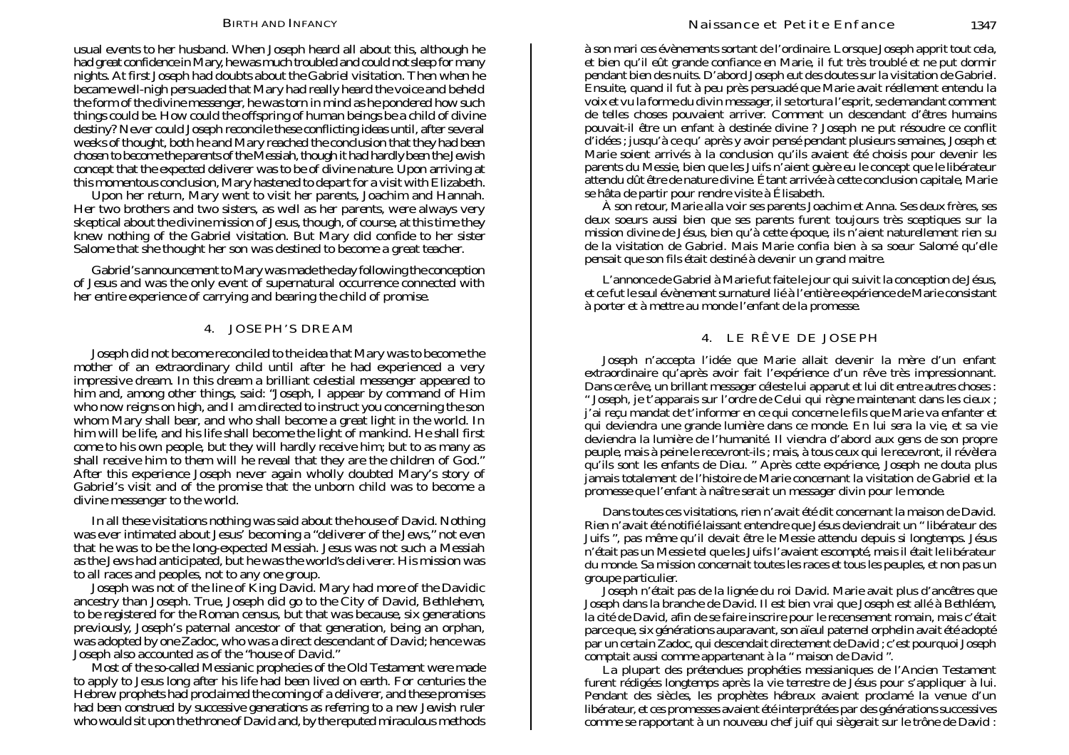### BIRTH AND INFANCY 1347

usual events to her husband. When Joseph heard all about this, although he had great confidence in Mary, he was much troubled and could not sleep for many nights. At first Joseph had doubts about the Gabriel visitation. Then when he became well-nigh persuaded that Mary had really heard the voice and beheld the form of the divine messenger, he was torn in mind as he pondered how such things could be. How could the offspring of human beings be a child of divine destiny? Never could Joseph reconcile these conflicting ideas until, after several weeks of thought, both he and Mary reached the conclusion that they had been chosen to become the parents of the Messiah, though it had hardly been the Jewish concept that the expected deliverer was to be of divine nature. Upon arriving at this momentous conclusion, Mary hastened to depart for a visit with Elizabeth.

Upon her return, Mary went to visit her parents, Joachim and Hannah. Her two brothers and two sisters, as well as her parents, were always very skeptical about the divine mission of Jesus, though, of course, at this time they knew nothing of the Gabriel visitation. But Mary did confide to her sister Salome that she thought her son was destined to become a great teacher.

Gabriel's announcement to Mary was made the day following the conception of Jesus and was the only event of supernatural occurrence connected with her entire experience of carrying and bearing the child of promise.

### 4. JOSEPH'S DREAM

Joseph did not become reconciled to the idea that Mary was to become the mother of an extraordinary child until after he had experienced a very impressive dream. In this dream a brilliant celestial messenger appeared to him and, among other things, said: "Joseph, I appear by command of Him who now reigns on high, and I am directed to instruct you concerning the son whom Mary shall bear, and who shall become a great light in the world. In him will be life, and his life shall become the light of mankind. He shall first come to his own people, but they will hardly receive him; but to as many as shall receive him to them will he reveal that they are the children of God." After this experience Joseph never again wholly doubted Mary's story of Gabriel's visit and of the promise that the unborn child was to become a divine messenger to the world.

In all these visitations nothing was said about the house of David. Nothing was ever intimated about Jesus' becoming a "deliverer of the Jews," not even that he was to be the long-expected Messiah. Jesus was not such a Messiah as the Jews had anticipated, but he was the *world's deliverer.* His mission was to all races and peoples, not to any one group.

Joseph was not of the line of King David. Mary had more of the Davidic ancestry than Joseph. True, Joseph did go to the City of David, Bethlehem, to be registered for the Roman census, but that was because, six generations previously, Joseph's paternal ancestor of that generation, being an orphan, was adopted by one Zadoc, who was a direct descendant of David; hence was Joseph also accounted as of the "house of David."

Most of the so-called Messianic prophecies of the Old Testament were made to apply to Jesus long after his life had been lived on earth. For centuries the Hebrew prophets had proclaimed the coming of a deliverer, and these promises had been construed by successive generations as referring to a new Jewish ruler who would sit upon the throne of David and, by the reputed miraculous methods

à son mari ces évènements sortant de l'ordinaire. Lorsque Joseph apprit tout cela, et bien qu'il eût grande confiance en Marie, il fut très troublé et ne put dormir pendant bien des nuits. D'abord Joseph eut des doutes sur la visitation de Gabriel. Ensuite, quand il fut à peu près persuadé que Marie avait réellement entendu la voix et vu la forme du divin messager, il se tortura l'esprit, se demandant comment de telles choses pouvaient arriver. Comment un descendant d'êtres humains pouvait-il être un enfant à destinée divine ? Joseph ne put résoudre ce conflit d'idées ; jusqu'à ce qu' après y avoir pensé pendant plusieurs semaines, Joseph et Marie soient arrivés à la conclusion qu'ils avaient été choisis pour devenir les parents du Messie, bien que les Juifs n'aient guère eu le concept que le libérateur<br>attendu dût être de nature divine. Étant arrivée à cette conclusion capitale, Marie<br>se hâta de partir pour rendre visite à Élisabeth.<br>À so

deux soeurs aussi bien que ses parents furent toujours très sceptiques sur la mission divine de Jésus, bien qu'à cette époque, ils n'aient naturellement rien su de la visitation de Gabriel. Mais Marie confia bien à sa soeur Salomé qu'elle pensait que son fils était destiné à devenir un grand maitre.

L'annonce de Gabriel à Marie fut faite le jour qui suivit la conception de Jésus, et ce fut le seul évènement surnaturel lié à l'entière expérience de Marie consistant à porter et à mettre au monde l'enfant de la promesse.

### 4. LE RÊVE DE JOSEPH

Joseph n'accepta l'idée que Marie allait devenir la mère d'un enfant extraordinaire qu'après avoir fait l'expérience d'un rêve très impressionnant. Dans ce rêve, un brillant messager céleste lui apparut et lui dit entre autres choses : " Joseph, je t'apparais sur l'ordre de Celui qui règne maintenant dans les cieux ; j'ai reçu mandat de t'informer en ce qui concerne le fils que Marie va enfanter et qui deviendra une grande lumière dans ce monde. En lui sera la vie, et sa vie deviendra la lumière de l'humanité. Il viendra d'abord aux gens de son propre peuple, mais à peine le recevront-ils ; mais, à tous ceux qui le recevront, il révèlera qu'ils sont les enfants de Dieu. " Après cette expérience, Joseph ne douta plus jamais totalement de l'histoire de Marie concernant la visitation de Gabriel et la promesse que l'enfant à naître serait un messager divin pour le monde.

Dans toutes ces visitations, rien n'avait été dit concernant la maison de David. Rien n'avait été notifié laissant entendre que Jésus deviendrait un " libérateur des Juifs ", pas même qu'il devait être le Messie attendu depuis si longtemps. Jésus n'était pas un Messie tel que les Juifs l'avaient escompté, mais il était le *libérateur du monde.* Sa mission concernait toutes les races et tous les peuples, et non pas un groupe particulier.

Joseph n'était pas de la lignée du roi David. Marie avait plus d'ancêtres que Joseph dans la branche de David. Il est bien vrai que Joseph est allé à Bethléem, la cité de David, afin de se faire inscrire pour le recensement romain, mais c'était parce que, six générations auparavant, son aïeul paternel orphelin avait été adopté par un certain Zadoc, qui descendait directement de David ; c'est pourquoi Joseph comptait aussi comme appartenant à la " maison de David ".

La plupart des prétendues prophéties messianiques de l'Ancien Testament furent rédigées longtemps après la vie terrestre de Jésus pour s'appliquer à lui. Pendant des siècles, les prophètes hébreux avaient proclamé la venue d'un libérateur, et ces promesses avaient été interprétées par des générations successives comme se rapportant à un nouveau chef juif qui siègerait sur le trône de David :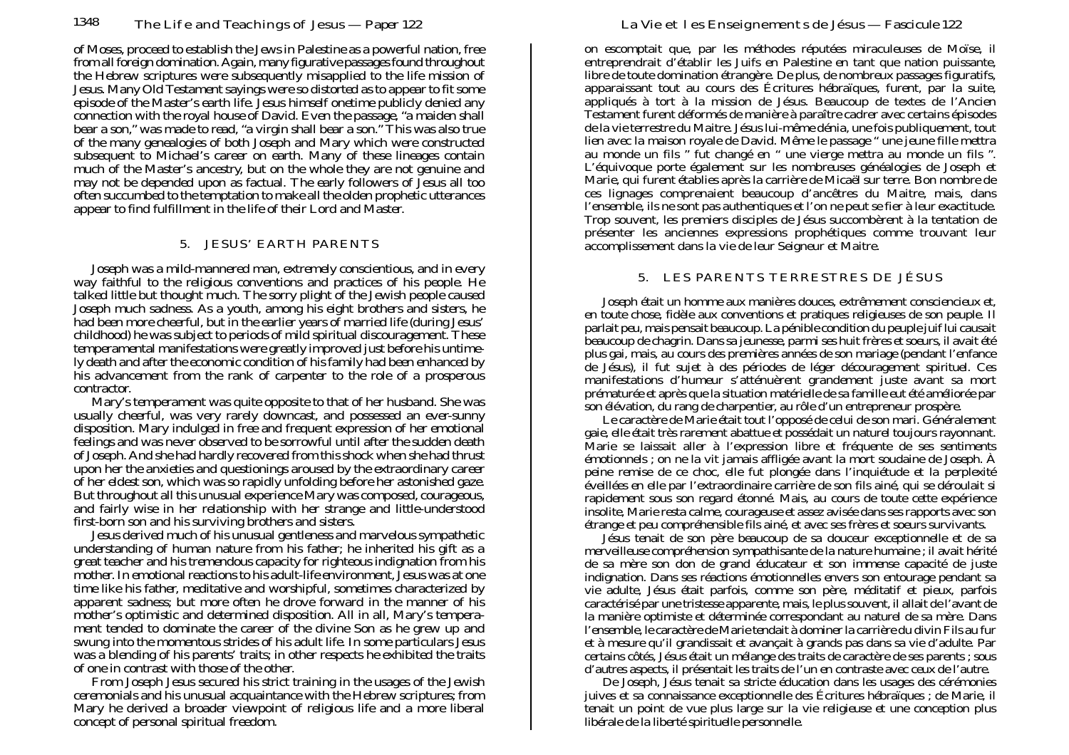of Moses, proceed to establish the Jews in Palestine as a powerful nation, free from all foreign domination. Again, many figurative passages found throughout the Hebrew scriptures were subsequently misapplied to the life mission of Jesus. Many Old Testament sayings were so distorted as to appear to fit some episode of the Master's earth life. Jesus himself onetime publicly denied any connection with the royal house of David. Even the passage, "a maiden shall bear a son," was made to read, "a virgin shall bear a son." This was also true of the many genealogies of both Joseph and Mary which were constructed subsequent to Michael's career on earth. Many of these lineages contain much of the Master's ancestry, but on the whole they are not genuine and may not be depended upon as factual. The early followers of Jesus all too often succumbed to the temptation to make all the olden prophetic utterances appear to find fulfillment in the life of their Lord and Master.

### 5. JESUS' EARTH PARENTS

Joseph was a mild-mannered man, extremely conscientious, and in every way faithful to the religious conventions and practices of his people. He talked little but thought much. The sorry plight of the Jewish people caused Joseph much sadness. As a youth, among his eight brothers and sisters, he had been more cheerful, but in the earlier years of married life (during Jesus' childhood) he was subject to periods of mild spiritual discouragemen temperamental manifestations were greatly improved just before his untimely death and after the economic condition of his family had been enhanced by his advancement from the rank of carpenter to the role of a prosperous contractor.

Mary's temperament was quite opposite to that of her husband. She was usually cheerful, was very rarely downcast, and possessed an ever-sunny disposition. Mary indulged in free and frequent expression of her emotional feelings and was never observed to be sorrowful until after the sudden death of Joseph. And she had hardly recovered from this shock when she had thrust upon her the anxieties and questionings aroused by the extraordinary career of her eldest son, which was so rapidly unfolding before her astonished gaze. But throughout all this unusual experience Mary was composed, courageous, and fairly wise in her relationship with her strange and little-understood first-born son and his surviving brothers and sisters.

Jesus derived much of his unusual gentleness and marvelous sympathetic understanding of human nature from his father; he inherited his gift as a great teacher and his tremendous capacity for righteous indignation from his mother. In emotional reactions to his adult-life environment, Jesus was at one time like his father, meditative and worshipful, sometimes characterized by apparent sadness; but more often he drove forward in the manner of his mother's optimistic and determined disposition. All in all, Mary's temperament tended to dominate the career of the divine Son as he grew up and swung into the momentous strides of his adult life. In some particulars Jesus was a blending of his parents' traits; in other respects he exhibited the traits of one in contrast with those of the other.

From Joseph Jesus secured his strict training in the usages of the Jewish ceremonials and his unusual acquaintance with the Hebrew scriptures; from Mary he derived a broader viewpoint of religious life and a more liberal concept of personal spiritual freedom.

on escomptait que, par les méthodes réputées miraculeuses de Moïse, il entreprendrait d'établir les Juifs en Palestine en tant que nation puissante, libre de toute domination étrangère. De plus, de nombreux passages figuratifs, apparaissant tout au cours des Écritures hébraïques, furent, par la suite, appliqués à tort à la mission de Jésus. Beaucoup de textes de l'Ancien Testament furent déformés de manière à paraître cadrer avec certains épisodes de la vie terrestre du Maitre. Jésus lui-même dénia, une fois publiquement, tout lien avec la maison royale de David. Même le passage " une jeune fille mettra au monde un fils " fut changé en " une vierge mettra au monde un fils ". L'équivoque porte également sur les nombreuses généalogies de Joseph et Marie, qui furent établies après la carrière de Micaël sur terre. Bon nombre de ces lignages comprenaient beaucoup d'ancêtres du Maitre, mais, dans l'ensemble, ils ne sont pas authentiques et l'on ne peut se fier à leur exactitude. Trop souvent, les premiers disciples de Jésus succombèrent à la tentation de présenter les anciennes expressions prophétiques comme trouvant leur accomplissement dans la vie de leur Seigneur et Maitre.

# 5. LES PARENTS TERRESTRES DE JÉSUS

Joseph était un homme aux manières douces, extrêmement consciencieux et, en toute chose, fidèle aux conventions et pratiques religieuses de son peuple. Il parlait peu, mais pensait beaucoup. La pénible condition du peuple juif lui causait beaucoup de chagrin. Dans sa jeunesse, parmi ses huit frères et soeurs, il avait été plus gai, mais, au cours des premières années de son mariage (pendant l'enfance de Jésus), il fut sujet à des périodes de léger découragement spirituel. Ces manifestations d'humeur s'atténuèrent grandement juste avant sa mort prématurée et après que la situation matérielle de sa famille eut été améliorée par son élévation, du rang de charpentier, au rôle d'un entrepreneur prospère.

Le caractère de Marie était tout l'opposé de celui de son mari. Généralement gaie, elle était très rarement abattue et possédait un naturel toujours rayonnant. Marie se laissait aller à l'expression libre et fréquente de ses sentiments émotionnels ; on ne la vit jamais affligée avant la mort soudaine de Joseph. À peine remise de ce choc, elle fut plongée dans l'inquiétude et la perplexité éveillées en elle par l'extraordinaire carrière de son fils ainé, qui se déroulait si rapidement sous son regard étonné. Mais, au cours de toute cette expérience insolite, Marie resta calme, courageuse et assez avisée dans ses rapports avec son étrange et peu compréhensible fils ainé, et avec ses frères et soeurs survivants.

Jésus tenait de son père beaucoup de sa douceur exceptionnelle et de sa merveilleuse compréhension sympathisante de la nature humaine ; il avait hérité de sa mère son don de grand éducateur et son immense capacité de juste indignation. Dans ses réactions émotionnelles envers son entourage pendant sa vie adulte, Jésus était parfois, comme son père, méditatif et pieux, parfois caractérisé par une tristesse apparente, mais, le plus souvent, il allait de l'avant de la manière optimiste et déterminée correspondant au naturel de sa mère. Dans l'ensemble, le caractère de Marie tendait à dominer la carrière du divin Fils au fur et à mesure qu'il grandissait et avançait à grands pas dans sa vie d'adulte. Par certains côtés, Jésus était un mélange des traits de caractère de ses parents ; sous d'autres aspects, il présentait les traits de l'un en contraste avec ceux de l'autre.

De Joseph, Jésus tenait sa stricte éducation dans les usages des cérémonies juives et sa connaissance exceptionnelle des Écritures hébraïques ; de Marie, il tenait un point de vue plus large sur la vie religieuse et une conception plus libérale de la liberté spirituelle personnelle.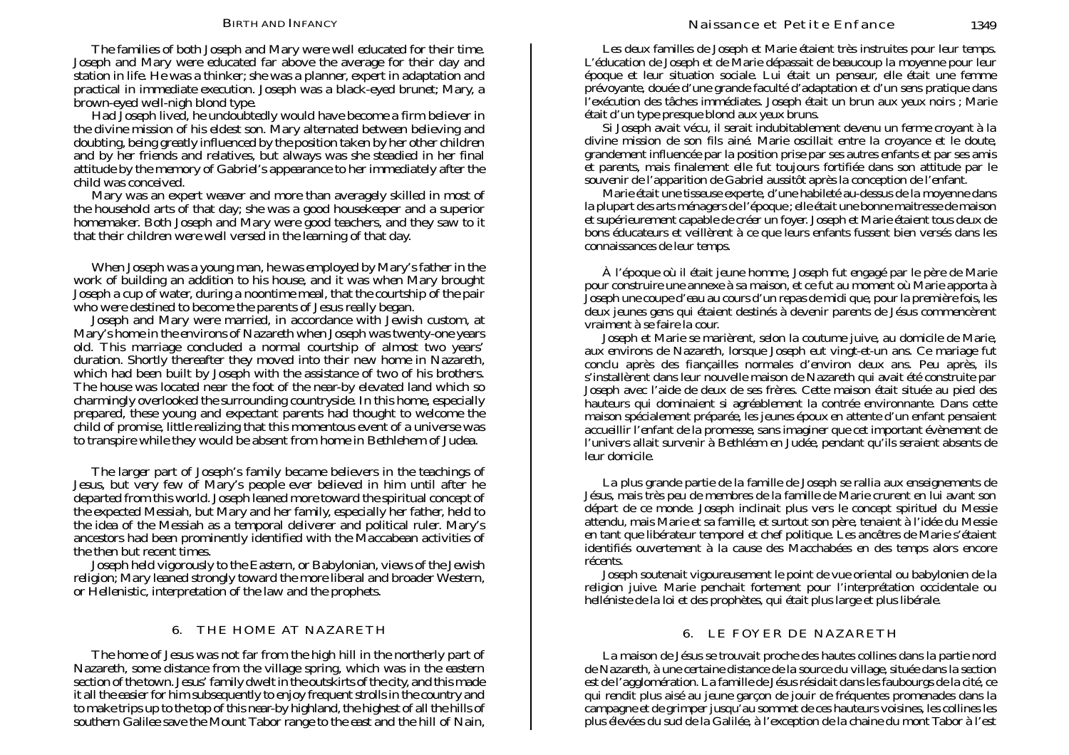The families of both Joseph and Mary were well educated for their time. Joseph and Mary were educated far above the average for their day and station in life. He was a thinker; she was a planner, expert in adaptation and practical in immediate execution. Joseph was a black-eyed brunet; Mary, a brown-eyed well-nigh blond type.

Had Joseph lived, he undoubtedly would have become a firm believer in the divine mission of his eldest son. Mary alternated between believing and doubting, being greatly influenced by the position taken by her other children and by her friends and relatives, but always was she steadied in her final attitude by the memory of Gabriel's appearance to her immediately after the child was conceived.

Mary was an expert weaver and more than averagely skilled in most of the household arts of that day; she was a good housekeeper and a superior homemaker. Both Joseph and Mary were good teachers, and they saw to it that their children were well versed in the learning of that day.

When Joseph was a young man, he was employed by Mary's father in the work of building an addition to his house, and it was when Mary brought Joseph a cup of water, during a noontime meal, that the courtship of the pair who were destined to become the parents of Jesus really began.

Joseph and Mary were married, in accordance with Jewish custom, at Mary's home in the environs of Nazareth when Joseph was twenty-one years old. This marriage concluded a normal courtship of almost two years' duration. Shortly thereafter they moved into their new home in Nazareth, which had been built by Joseph with the assistance of two of his brothers. The house was located near the foot of the near-by elevated land which so charmingly overlooked the surrounding countryside. In this home, especially prepared, these young and expectant parents had thought to welcome the child of promise, little realizing that this momentous event of a universe was to transpire while they would be absent from home in Bethlehem of Judea.

The larger part of Joseph's family became believers in the teachings of Jesus, but very few of Mary's people ever believed in him until after he departed from this world. Joseph leaned more toward the spiritual concept of the expected Messiah, but Mary and her family, especially her father, held to the idea of the Messiah as a temporal deliverer and political ruler. Mary's ancestors had been prominently identified with the Maccabean activities of the then but recent times.

Joseph held vigorously to the Eastern, or Babylonian, views of the Jewish religion; Mary leaned strongly toward the more liberal and broader Western, or Hellenistic, interpretation of the law and the prophets.

### 6. THE HOME AT NAZARETH

The home of Jesus was not far from the high hill in the northerly part of Nazareth, some distance from the village spring, which was in the eastern section of the town. Jesus' family dwelt in the outskirts of the city, and this made it all the easier for him subsequently to enjoy frequent strolls in the country and to make trips up to the top of this near-by highland, the highest of all the hills of southern Galilee save the Mount Tabor range to the east and the hill of Nain,

Les deux familles de Joseph et Marie étaient très instruites pour leur temps. L'éducation de Joseph et de Marie dépassait de beaucoup la moyenne pour leur époque et leur situation sociale. Lui était un penseur, elle était une femme prévoyante, douée d'une grande faculté d'adaptation et d'un sens pratique dans l'exécution des tâches immédiates. Joseph était un brun aux yeux noirs ; Marie était d'un type presque blond aux yeux bruns.

Si Joseph avait vécu, il serait indubitablement devenu un ferme croyant à la divine mission de son fils ainé. Marie oscillait entre la croyance et le doute, grandement influencée par la position prise par ses autres enfants et par ses amis et parents, mais finalement elle fut toujours fortifiée dans son attitude par le souvenir de l'apparition de Gabriel aussitôt après la conception de l'enfant.

Marie était une tisseuse experte, d'une habileté au-dessus de la moyenne dans la plupart des arts ménagers de l'époque ; elle était une bonne maitresse de maison et supérieurement capable de créer un foyer. Joseph et Marie étaient tous deux de bons éducateurs et veillèrent à ce que leurs enfants fussent bien versés dans les connaissances de leur temps.

À l'époque où il était jeune homme, Joseph fut engagé par le père de Marie pour construire une annexe à sa maison, et ce fut au moment où Marie apporta à Joseph une coupe d'eau au cours d'un repas de midi que, pour la première fois, les deux jeunes gens qui étaient destinés à devenir parents de Jésus commencèrent vraiment à se faire la cour.

Joseph et Marie se marièrent, selon la coutume juive, au domicile de Marie, aux environs de Nazareth, lorsque Joseph eut vingt-et-un ans. Ce mariage fut conclu après des fiançailles normales d'environ deux ans. Peu après, ils s'installèrent dans leur nouvelle maison de Nazareth qui avait été construite par Joseph avec l'aide de deux de ses frères. Cette maison était située au pied des hauteurs qui dominaient si agréablement la contrée environnante. Dans cette maison spécialement préparée, les jeunes époux en attente d'un enfant pensaient accueillir l'enfant de la promesse, sans imaginer que cet important évènement de l'univers allait survenir à Bethléem en Judée, pendant qu'ils seraient absents de leur domicile.

La plus grande partie de la famille de Joseph se rallia aux enseignements de Jésus, mais très peu de membres de la famille de Marie crurent en lui avant son départ de ce monde. Joseph inclinait plus vers le concept spirituel du Messie attendu, mais Marie et sa famille, et surtout son père, tenaient à l'idée du Messie en tant que libérateur temporel et chef politique. Les ancêtres de Marie s'étaient identifiés ouvertement à la cause des Macchabées en des temps alors encore récents.

Joseph soutenait vigoureusement le point de vue oriental ou babylonien de la religion juive. Marie penchait fortement pour l'interprétation occidentale ou helléniste de la loi et des prophètes, qui était plus large et plus libérale.

### 6. LE FOYER DE NAZARETH

La maison de Jésus se trouvait proche des hautes collines dans la partie nord de Nazareth, à une certaine distance de la source du village, située dans la section est de l'agglomération. La famille de Jésus résidait dans les faubourgs de la cité, ce qui rendit plus aisé au jeune garçon de jouir de fréquentes promenades dans la campagne et de grimper jusqu'au sommet de ces hauteurs voisines, les collines les plus élevées du sud de la Galilée, à l'exception de la chaine du mont Tabor à l'est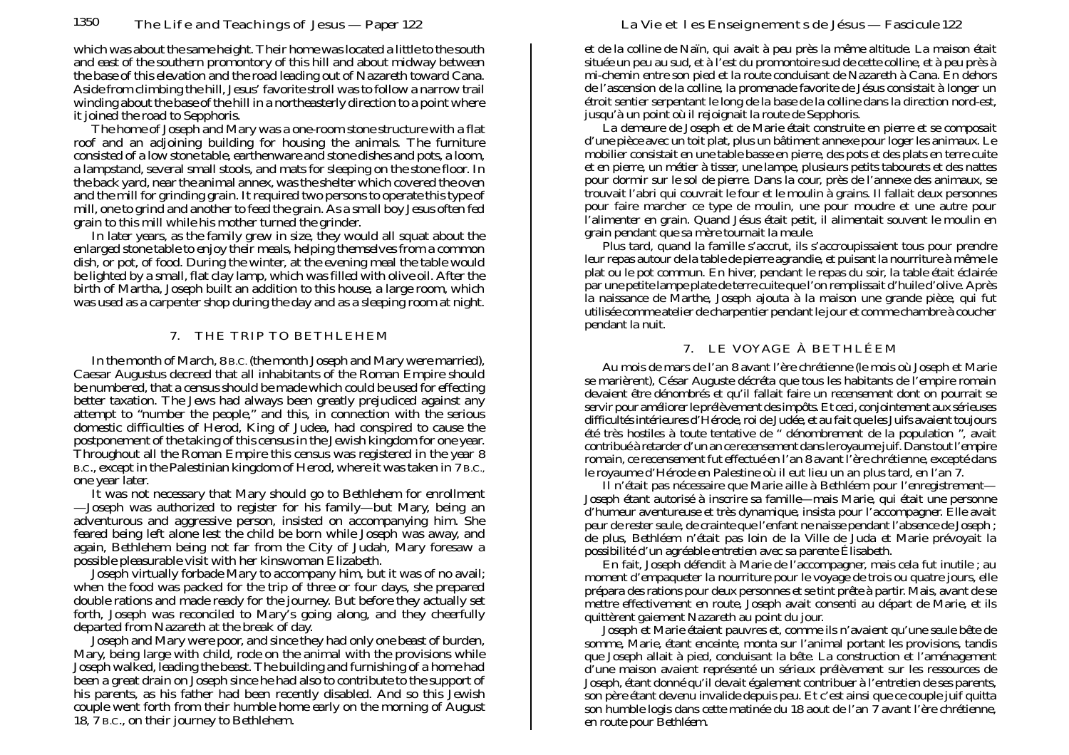which was about the same height. Their home was located a little to the south and east of the southern promontory of this hill and about midway between the base of this elevation and the road leading out of Nazareth toward Cana. Aside from climbing the hill, Jesus' favorite stroll was to follow a narrow trail winding about the base of the hill in a northeasterly direction to a point where it joined the road to Sepphoris.

The home of Joseph and Mary was a one-room stone structure with a flat roof and an adjoining building for housing the animals. The furniture consisted of a low stone table, earthenware and stone dishes and pots, a loom, a lampstand, several small stools, and mats for sleeping on the stone floor. In the back yard, near the animal annex, was the shelter which covered the oven and the mill for grinding grain. It required two persons to operate this type of mill, one to grind and another to feed the grain. As a small boy Jesus often fed grain to this mill while his mother turned the grinder.

In later years, as the family grew in size, they would all squat about the enlarged stone table to enjoy their meals, helping themselves from a common dish, or pot, of food. During the winter, at the evening meal the table would be lighted by a small, flat clay lamp, which was filled with olive oil. After the birth of Martha, Joseph built an addition to this house, a large room, which was used as a carpenter shop during the day and as a sleeping room at night.

### 7. THE TRIP TO BETHLEHEM

In the month of March, 8 B.C. (the month Joseph and Mary were married), Caesar Augustus decreed that all inhabitants of the Roman Empire should be numbered, that a census should be made which could be used for effecting better taxation. The Jews had always been greatly prejudiced against any attempt to "number the people," and this, in connection with the serious domestic difficulties of Herod, King of Judea, had conspired to cause the postponement of the taking of this census in the Jewish kingdom for one year. Throughout all the Roman Empire this census was registered in the year 8 B.C., except in the Palestinian kingdom of Herod, where it was taken in 7 B.C., one year later.

It was not necessary that Mary should go to Bethlehem for enrollment —Joseph was authorized to register for his family—but Mary, being an adventurous and aggressive person, insisted on accompanying him. She feared being left alone lest the child be born while Joseph was away, and again, Bethlehem being not far from the City of Judah, Mary foresaw a possible pleasurable visit with her kinswoman Elizabeth.

Joseph virtually forbade Mary to accompany him, but it was of no avail; when the food was packed for the trip of three or four days, she prepared double rations and made ready for the journey. But before they actually set forth, Joseph was reconciled to Mary's going along, and they cheerfully departed from Nazareth at the break of day.

Joseph and Mary were poor, and since they had only one beast of burden, Mary, being large with child, rode on the animal with the provisions while Joseph walked, leading the beast. The building and furnishing of a home had been a great drain on Joseph since he had also to contribute to the support of his parents, as his father had been recently disabled. And so this Jewish couple went forth from their humble home early on the morning of August 18, 7 B.C., on their journey to Bethlehem.

et de la colline de Naïn, qui avait à peu près la même altitude. La maison était située un peu au sud, et à l'est du promontoire sud de cette colline, et à peu près à mi-chemin entre son pied et la route conduisant de Nazareth à Cana. En dehors de l'ascension de la colline, la promenade favorite de Jésus consistait à longer un étroit sentier serpentant le long de la base de la colline dans la direction nord-est, jusqu'à un point où il rejoignait la route de Sepphoris.

La demeure de Joseph et de Marie était construite en pierre et se composait d'une pièce avec un toit plat, plus un bâtiment annexe pour loger les animaux. Le mobilier consistait en une table basse en pierre, des pots et des plats en terre cuite et en pierre, un métier à tisser, une lampe, plusieurs petits tabourets et des nattes pour dormir sur le sol de pierre. Dans la cour, près de l'annexe des animaux, se trouvait l'abri qui couvrait le four et le moulin à grains. Il fallait deux personnes pour faire marcher ce type de moulin, une pour moudre et une autre pour l'alimenter en grain. Quand Jésus était petit, il alimentait souvent le moulin en grain pendant que sa mère tournait la meule.

Plus tard, quand la famille s'accrut, ils s'accroupissaient tous pour prendre leur repas autour de la table de pierre agrandie, et puisant la nourriture à même le plat ou le pot commun. En hiver, pendant le repas du soir, la table était éclairée par une petite lampe plate de terre cuite que l'on remplissait d'huile d'olive. Après la naissance de Marthe, Joseph ajouta à la maison une grande pièce, qui fut utilisée comme atelier de charpentier pendant le jour et comme chambre à coucher pendant la nuit.

## 7. LE VOYAGE À BETHLÉEM

Au mois de mars de l'an 8 avant l'ère chrétienne (le mois où Joseph et Marie se marièrent), César Auguste décréta que tous les habitants de l'empire romain devaient être dénombrés et qu'il fallait faire un recensement dont on pourrait se servir pour améliorer le prélèvement des impôts. Et ceci, conjointement aux sérieuses difficultés intérieures d'Hérode, roi de Judée, et au fait que les Juifs avaient toujours été très hostiles à toute tentative de " dénombrement de la population ", avait contribué à retarder d'un an ce recensement dans le royaume juif. Dans tout l'empire romain, ce recensement fut effectué en l'an 8 avant l'ère chrétienne, excepté dans le royaume d'Hérode en Palestine où il eut lieu un an plus tard, en l'an 7.

Il n'était pas nécessaire que Marie aille à Bethléem pour l'enregistrement— Joseph étant autorisé à inscrire sa famille—mais Marie, qui était une personne d'humeur aventureuse et très dynamique, insista pour l'accompagner. Elle avait peur de rester seule, de crainte que l'enfant ne naisse pendant l'absence de Joseph ; de plus, Bethléem n'était pas loin de la Ville de Juda et Marie prévoyait la possibilité d'un agréable entretien avec sa parente Élisabeth.

En fait, Joseph défendit à Marie de l'accompagner, mais cela fut inutile ; au moment d'empaqueter la nourriture pour le voyage de trois ou quatre jours, elle prépara des rations pour deux personnes et se tint prête à partir. Mais, avant de se mettre effectivement en route, Joseph avait consenti au départ de Marie, et ils quittèrent gaiement Nazareth au point du jour.

Joseph et Marie étaient pauvres et, comme ils n'avaient qu'une seule bête de somme, Marie, étant enceinte, monta sur l'animal portant les provisions, tandis que Joseph allait à pied, conduisant la bête. La construction et l'aménagement d'une maison avaient représenté un sérieux prélèvement sur les ressources de Joseph, étant donné qu'il devait également contribuer à l'entretien de ses parents, son père étant devenu invalide depuis peu. Et c'est ainsi que ce couple juif quitta son humble logis dans cette matinée du 18 aout de l'an 7 avant l'ère chrétienne, en route pour Bethléem.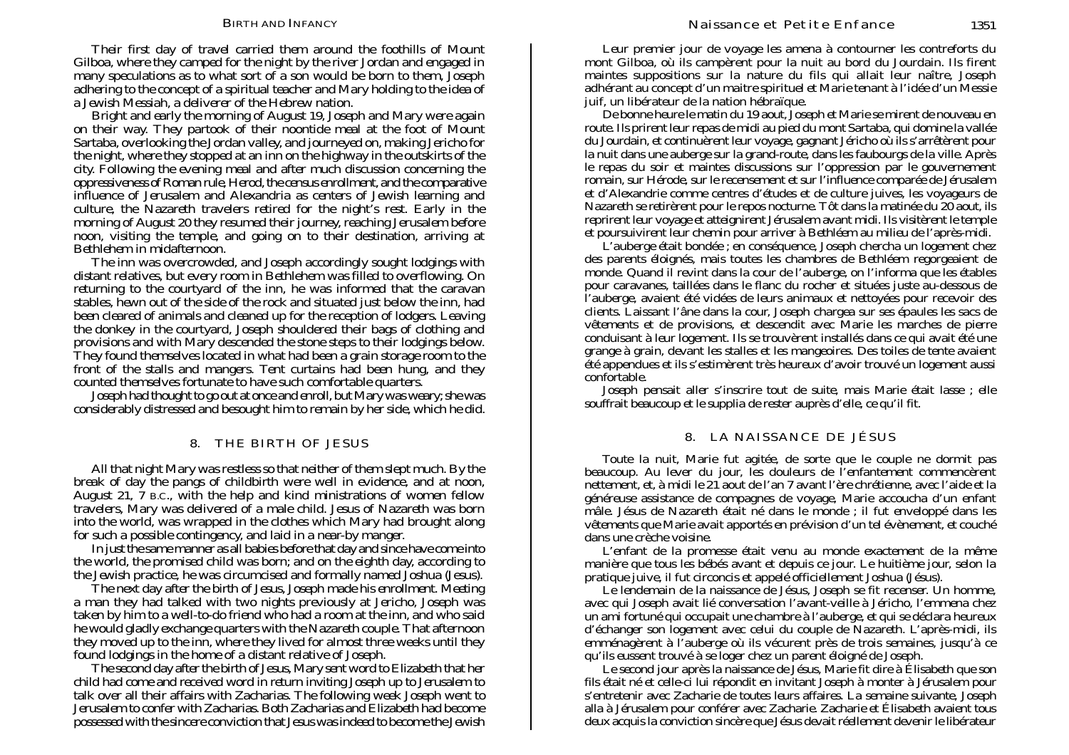Their first day of travel carried them around the foothills of Mount Gilboa, where they camped for the night by the river Jordan and engaged in many speculations as to what sort of a son would be born to them, Joseph adhering to the concept of a spiritual teacher and Mary holding to the idea of a Jewish Messiah, a deliverer of the Hebrew nation.

Bright and early the morning of August 19, Joseph and Mary were again on their way. They partook of their noontide meal at the foot of Mount Sartaba, overlooking the Jordan valley, and journeyed on, making Jericho for the night, where they stopped at an inn on the highway in the outskirts of the city. Following the evening meal and after much discussion concerning the oppressiveness of Roman rule, Herod, the census enrollment, and the comparative influence of Jerusalem and Alexandria as centers of Jewish learning and culture, the Nazareth travelers retired for the night's rest. Early in the morning of August 20 they resumed their journey, reaching Jerusalem before noon, visiting the temple, and going on to their destination, arriving at Bethlehem in midafternoon.

The inn was overcrowded, and Joseph accordingly sought lodgings with distant relatives, but every room in Bethlehem was filled to overflowing. On returning to the courtyard of the inn, he was informed that the caravan stables, hewn out of the side of the rock and situated just below the inn, had been cleared of animals and cleaned up for the reception of lodgers. Leaving the donkey in the courtyard, Joseph shouldered their bags of clothing and provisions and with Mary descended the stone steps to their lodgings below. They found themselves located in what had been a grain storage room to the front of the stalls and mangers. Tent curtains had been hung, and they counted themselves fortunate to have such comfortable quarters.

Joseph had thought to go out at once and enroll, but Mary was weary; she was considerably distressed and besought him to remain by her side, which he did.

### 8. THE BIRTH OF JESUS

All that night Mary was restless so that neither of them slept much. By the break of day the pangs of childbirth were well in evidence, and at noon, August 21, 7 B.C., with the help and kind ministrations of women fellow travelers, Mary was delivered of a male child. Jesus of Nazareth was born into the world, was wrapped in the clothes which Mary had brought along for such a possible contingency, and laid in a near-by manger.

In just the same manner as all babies before that day and since have come into the world, the promised child was born; and on the eighth day, according to the Jewish practice, he was circumcised and formally named Joshua (Jesus).

The next day after the birth of Jesus, Joseph made his enrollment. Meeting a man they had talked with two nights previously at Jericho, Joseph was taken by him to a well-to-do friend who had a room at the inn, and who said he would gladly exchange quarters with the Nazareth couple. That afternoon they moved up to the inn, where they lived for almost three weeks until they found lodgings in the home of a distant relative of Joseph.

The second day after the birth of Jesus, Mary sent word to Elizabeth that her child had come and received word in return inviting Joseph up to Jerusalem to talk over all their affairs with Zacharias. The following week Joseph went to Jerusalem to confer with Zacharias. Both Zacharias and Elizabeth had become possessed with the sincere conviction that Jesus was indeed to become the Jewish

Leur premier jour de voyage les amena à contourner les contreforts du mont Gilboa, où ils campèrent pour la nuit au bord du Jourdain. Ils firent maintes suppositions sur la nature du fils qui allait leur naître, Joseph adhérant au concept d'un maitre spirituel et Marie tenant à l'idée d'un Messie juif, un libérateur de la nation hébraïque.

De bonne heure le matin du 19 aout, Joseph et Marie se mirent de nouveau en route. Ils prirent leur repas de midi au pied du mont Sartaba, qui domine la vallée du Jourdain, et continuèrent leur voyage, gagnant Jéricho où ils s'arrêtèrent pour la nuit dans une auberge sur la grand-route, dans les faubourgs de la ville. Après le repas du soir et maintes discussions sur l'oppression par le gouvernement romain, sur Hérode, sur le recensement et sur l'influence comparée de Jérusalem et d'Alexandrie comme centres d'études et de culture juives, les voyageurs de Nazareth se retirèrent pour le repos nocturne. Tôt dans la matinée du 20 aout, ils reprirent leur voyage et atteignirent Jérusalem avant midi. Ils visitèrent le temple et poursuivirent leur chemin pour arriver à Bethléem au milieu de l'après-midi.

L'auberge était bondée ; en conséquence, Joseph chercha un logement chez des parents éloignés, mais toutes les chambres de Bethléem regorgeaient de monde. Quand il revint dans la cour de l'auberge, on l'informa que les étables pour caravanes, taillées dans le flanc du rocher et situées juste au-dessous de l'auberge, avaient été vidées de leurs animaux et nettoyées pour recevoir des clients. Laissant l'âne dans la cour, Joseph chargea sur ses épaules les sacs de vêtements et de provisions, et descendit avec Marie les marches de pierre conduisant à leur logement. Ils se trouvèrent installés dans ce qui avait été une grange à grain, devant les stalles et les mangeoires. Des toiles de tente avaient été appendues et ils s'estimèrent très heureux d'avoir trouvé un logement aussi confortable.

Joseph pensait aller s'inscrire tout de suite, mais Marie était lasse ; elle souffrait beaucoup et le supplia de rester auprès d'elle, ce qu'il fit.

### 8. LA NAISSANCE DE JÉSUS

Toute la nuit, Marie fut agitée, de sorte que le couple ne dormit pas beaucoup. Au lever du jour, les douleurs de l'enfantement commencèrent nettement, et, à midi le 21 aout de l'an 7 avant l'ère chrétienne, avec l'aide et la généreuse assistance de compagnes de voyage, Marie accoucha d'un enfant mâle. Jésus de Nazareth était né dans le monde ; il fut enveloppé dans les vêtements que Marie avait apportés en prévision d'un tel évènement, et couché dans une crèche voisine.

L'enfant de la promesse était venu au monde exactement de la même manière que tous les bébés avant et depuis ce jour. Le huitième jour, selon la pratique juive, il fut circoncis et appelé officiellement Joshua (Jésus).

Le lendemain de la naissance de Jésus, Joseph se fit recenser. Un homme, avec qui Joseph avait lié conversation l'avant-veille à Jéricho, l'emmena chez un ami fortuné qui occupait une chambre à l'auberge, et qui se déclara heureux d'échanger son logement avec celui du couple de Nazareth. L'après-midi, ils emménagèrent à l'auberge où ils vécurent près de trois semaines, jusqu'à ce

qu'ils eussent trouvé à se loger chez un parent éloigné de Joseph. Le second jour après la naissance de Jésus, Marie fit dire à Élisabeth que son fils était né et celle-ci lui répondit en invitant Joseph à monter à Jérusalem pour s'entretenir avec Zacharie de toutes leurs affaires. La semaine suivante, Joseph alla à Jérusalem pour conférer avec Zacharie. Zacharie et Élisabeth avaient tous deux acquis la conviction sincère que Jésus devait réellement devenir le libérateur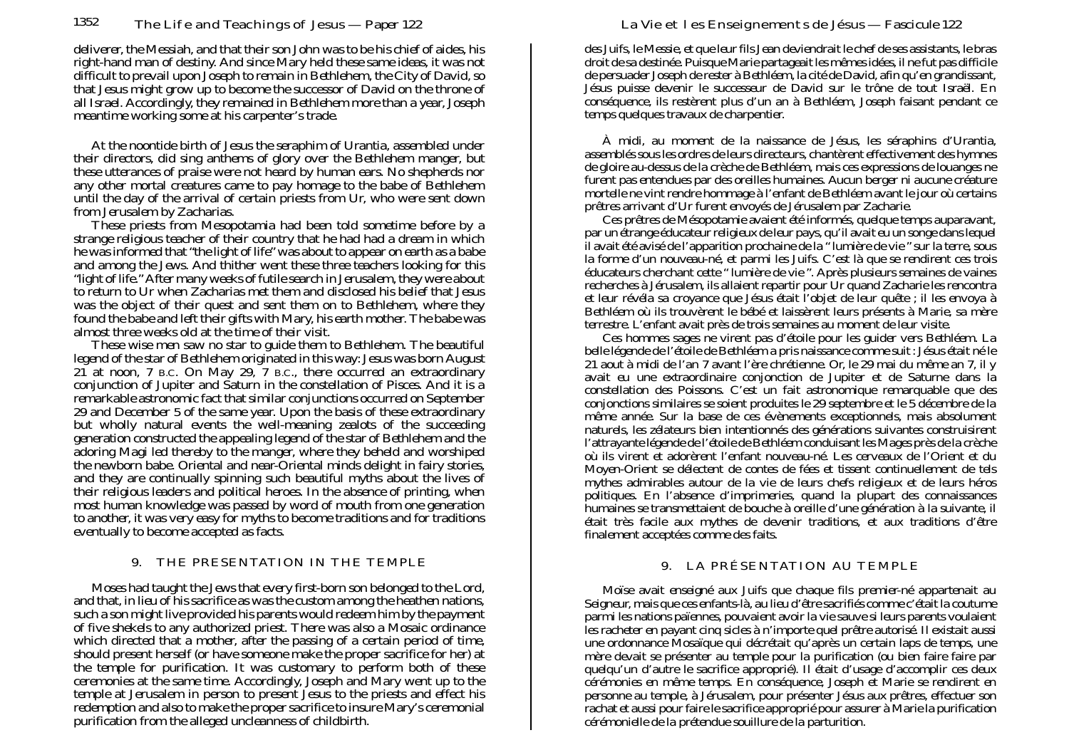deliverer, the Messiah, and that their son John was to be his chief of aides, his right-hand man of destiny. And since Mary held these same ideas, it was not difficult to prevail upon Joseph to remain in Bethlehem, the City of David, so that Jesus might grow up to become the successor of David on the throne of all Israel. Accordingly, they remained in Bethlehem more than a year, Joseph meantime working some at his carpenter's trade.

At the noontide birth of Jesus the seraphim of Urantia, assembled under their directors, did sing anthems of glory over the Bethlehem manger, but these utterances of praise were not heard by human ears. No shepherds nor any other mortal creatures came to pay homage to the babe of Bethlehem until the day of the arrival of certain priests from Ur, who were sent down from Jerusalem by Zacharias.

These priests from Mesopotamia had been told sometime before by a strange religious teacher of their country that he had had a dream in which he was informed that "the light of life" was about to appear on earth as a babe and among the Jews. And thither went these three teachers looking for this "light of life." After many weeks of futile search in Jerusalem, they were about to return to Ur when Zacharias met them and disclosed his belief that Jesus was the object of their quest and sent them on to Bethlehem, where they found the babe and left their gifts with Mary, his earth mother. The babe was almost three weeks old at the time of their visit.

These wise men saw no star to guide them to Bethlehem. The beautiful legend of the star of Bethlehem originated in this way: Jesus was born August 21 at noon, 7 B.C. On May 29, 7 B.C., there occurred an extraordinary conjunction of Jupiter and Saturn in the constellation of Pisces. And it is a remarkable astronomic fact that similar conjunctions occurred on September 29 and December 5 of the same year. Upon the basis of these extraordinary but wholly natural events the well-meaning zealots of the succeeding generation constructed the appealing legend of the star of Bethlehem and the adoring Magi led thereby to the manger, where they beheld and worshiped the newborn babe. Oriental and near-Oriental minds delight in fairy stories, and they are continually spinning such beautiful myths about the lives of their religious leaders and political heroes. In the absence of printing, when most human knowledge was passed by word of mouth from one generation to another, it was very easy for myths to become traditions and for traditions eventually to become accepted as facts.

## 9. THE PRESENTATION IN THE TEMPLE

Moses had taught the Jews that every first-born son belonged to the Lord, and that, in lieu of his sacrifice as was the custom among the heathen nations, such a son might live provided his parents would redeem him by the payment of five shekels to any authorized priest. There was also a Mosaic ordinance which directed that a mother, after the passing of a certain period of time, should present herself (or have someone make the proper sacrifice for her) at the temple for purification. It was customary to perform both of these ceremonies at the same time. Accordingly, Joseph and Mary went up to the temple at Jerusalem in person to present Jesus to the priests and effect his redemption and also to make the proper sacrifice to insure Mary's ceremonial purification from the alleged uncleanness of childbirth.

des Juifs, le Messie, et que leur fils Jean deviendrait le chef de ses assistants, le bras droit de sa destinée. Puisque Marie partageait les mêmes idées, il ne fut pas difficile de persuader Joseph de rester à Bethléem, la cité de David, afin qu'en grandissant, Jésus puisse devenir le successeur de David sur le trône de tout Israël. En conséquence, ils restèrent plus d'un an à Bethléem, Joseph faisant pendant ce temps quelques travaux de charpentier.

À midi, au moment de la naissance de Jésus, les séraphins d'Urantia, assemblés sous les ordres de leurs directeurs, chantèrent effectivement des hymnes de gloire au-dessus de la crèche de Bethléem, mais ces expressions de louanges ne furent pas entendues par des oreilles humaines. Aucun berger ni aucune créature mortelle ne vint rendre hommage à l'enfant de Bethléem avant le jour où certains prêtres arrivant d'Ur furent envoyés de Jérusalem par Zacharie.

Ces prêtres de Mésopotamie avaient été informés, quelque temps auparavant, par un étrange éducateur religieux de leur pays, qu'il avait eu un songe dans lequel il avait été avisé de l'apparition prochaine de la " lumière de vie " sur la terre, sous la forme d'un nouveau-né, et parmi les Juifs. C'est là que se rendirent ces trois éducateurs cherchant cette " lumière de vie ". Après plusieurs semaines de vaines recherches à Jérusalem, ils allaient repartir pour Ur quand Zacharie les rencontra et leur révéla sa croyance que Jésus était l'objet de leur quête ; il les envoya à Bethléem où ils trouvèrent le bébé et laissèrent leurs présents à Marie, sa mère terrestre. L'enfant avait près de trois semaines au moment de leur visite.

Ces hommes sages ne virent pas d'étoile pour les guider vers Bethléem. La belle légende de l'étoile de Bethléem a pris naissance comme suit : Jésus était né le 21 aout à midi de l'an 7 avant l'ère chrétienne. Or, le 29 mai du même an 7, il y avait eu une extraordinaire conjonction de Jupiter et de Saturne dans la constellation des Poissons. C'est un fait astronomique remarquable que des conjonctions similaires se soient produites le 29 septembre et le 5 décembre de la même année. Sur la base de ces évènements exceptionnels, mais absolument naturels, les zélateurs bien intentionnés des générations suivantes construisirent l'attrayante légende de l'étoile de Bethléem conduisant les Mages près de la crèche où ils virent et adorèrent l'enfant nouveau-né. Les cerveaux de l'Orient et du Moyen-Orient se délectent de contes de fées et tissent continuellement de tels mythes admirables autour de la vie de leurs chefs religieux et de leurs héros politiques. En l'absence d'imprimeries, quand la plupart des connaissances humaines se transmettaient de bouche à oreille d'une génération à la suivante, il était très facile aux mythes de devenir traditions, et aux traditions d'être finalement acceptées comme des faits.

# 9. LA PRÉSENTATION AU TEMPLE

Moïse avait enseigné aux Juifs que chaque fils premier-né appartenait au Seigneur, mais que ces enfants-là, au lieu d'être sacrifiés comme c'était la coutume parmi les nations païennes, pouvaient avoir la vie sauve si leurs parents voulaient les racheter en payant cinq sicles à n'importe quel prêtre autorisé. Il existait aussi une ordonnance Mosaïque qui décrétait qu'après un certain laps de temps, une mère devait se présenter au temple pour la purification (ou bien faire faire par quelqu'un d'autre le sacrifice approprié). Il était d'usage d'accomplir ces deux cérémonies en même temps. En conséquence, Joseph et Marie se rendirent en personne au temple, à Jérusalem, pour présenter Jésus aux prêtres, effectuer son rachat et aussi pour faire le sacrifice approprié pour assurer à Marie la purification cérémonielle de la prétendue souillure de la parturition.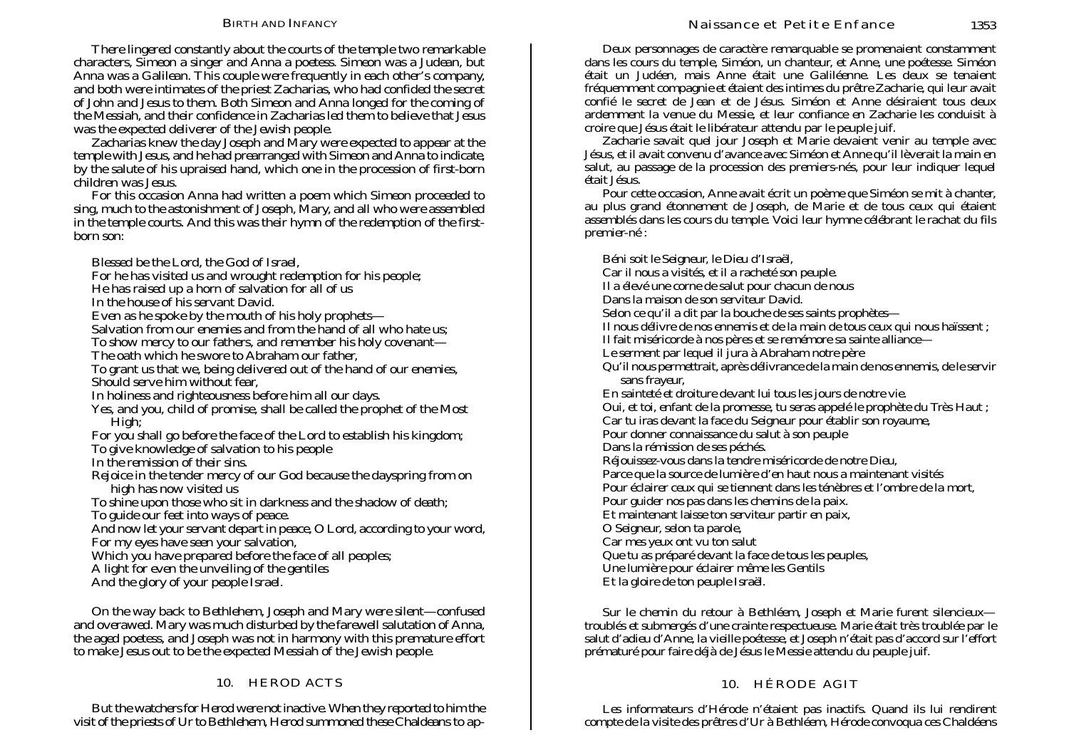There lingered constantly about the courts of the temple two remarkable characters, Simeon a singer and Anna a poetess. Simeon was a Judean, but Anna was a Galilean. This couple were frequently in each other's company, and both were intimates of the priest Zacharias, who had confided the secret of John and Jesus to them. Both Simeon and Anna longed for the coming of the Messiah, and their confidence in Zacharias led them to believe that Jesus was the expected deliverer of the Jewish people.

Zacharias knew the day Joseph and Mary were expected to appear at the temple with Jesus, and he had prearranged with Simeon and Anna to indicate, by the salute of his upraised hand, which one in the procession of first-born children was Jesus.

For this occasion Anna had written a poem which Simeon proceeded to sing, much to the astonishment of Joseph, Mary, and all who were assembled in the temple courts. And this was their hymn of the redemption of the firstborn son:

Blessed be the Lord, the God of Israel,

For he has visited us and wrought redemption for his people;

He has raised up a horn of salvation for all of us

In the house of his servant David.

Even as he spoke by the mouth of his holy prophets—

Salvation from our enemies and from the hand of all who hate us;

To show mercy to our fathers, and remember his holy covenant—

The oath which he swore to Abraham our father,

To grant us that we, being delivered out of the hand of our enemies, Should serve him without fear,

In holiness and righteousness before him all our days.

Yes, and you, child of promise, shall be called the prophet of the Most High;

For you shall go before the face of the Lord to establish his kingdom;

To give knowledge of salvation to his people

In the remission of their sins.

Rejoice in the tender mercy of our God because the dayspring from on high has now visited us

To shine upon those who sit in darkness and the shadow of death;

To guide our feet into ways of peace.

And now let your servant depart in peace, O Lord, according to your word, For my eyes have seen your salvation,

Which you have prepared before the face of all peoples;

A light for even the unveiling of the gentiles

And the glory of your people Israel.

On the way back to Bethlehem, Joseph and Mary were silent—confused and overawed. Mary was much disturbed by the farewell salutation of Anna, the aged poetess, and Joseph was not in harmony with this premature effort to make Jesus out to be the expected Messiah of the Jewish people.

# 10. HEROD ACTS

But the watchers for Herod were not inactive. When they reported to him the visit of the priests of Ur to Bethlehem, Herod summoned these Chaldeans to ap-

Deux personnages de caractère remarquable se promenaient constamment dans les cours du temple, Siméon, un chanteur, et Anne, une poétesse. Siméon était un Judéen, mais Anne était une Galiléenne. Les deux se tenaient fréquemment compagnie et étaient des intimes du prêtre Zacharie, qui leur avait confié le secret de Jean et de Jésus. Siméon et Anne désiraient tous deux ardemment la venue du Messie, et leur confiance en Zacharie les conduisit à croire que Jésus était le libérateur attendu par le peuple juif.

Zacharie savait quel jour Joseph et Marie devaient venir au temple avec Jésus, et il avait convenu d'avance avec Siméon et Anne qu'il lèverait la main en salut, au passage de la procession des premiers-nés, pour leur indiquer lequel était Jésus.

Pour cette occasion, Anne avait écrit un poème que Siméon se mit à chanter, au plus grand étonnement de Joseph, de Marie et de tous ceux qui étaient assemblés dans les cours du temple. Voici leur hymne célébrant le rachat du fils premier-né :

Béni soit le Seigneur, le Dieu d'Israël, Car il nous a visités, et il a racheté son peuple. Il a élevé une corne de salut pour chacun de nous Dans la maison de son serviteur David. Selon ce qu'il a dit par la bouche de ses saints prophètes— Il nous délivre de nos ennemis et de la main de tous ceux qui nous haïssent ; Il fait miséricorde à nos pères et se remémore sa sainte alliance— Le serment par lequel il jura à Abraham notre père Qu'il nous permettrait, après délivrance de la main de nos ennemis, de le servir sans frayeur, En sainteté et droiture devant lui tous les jours de notre vie. Oui, et toi, enfant de la promesse, tu seras appelé le prophète du Très Haut ; Car tu iras devant la face du Seigneur pour établir son royaume, Pour donner connaissance du salut à son peuple Dans la rémission de ses péchés. Réjouissez-vous dans la tendre miséricorde de notre Dieu, Parce que la source de lumière d'en haut nous a maintenant visités Pour éclairer ceux qui se tiennent dans les ténèbres et l'ombre de la mort, Pour guider nos pas dans les chemins de la paix. Et maintenant laisse ton serviteur partir en paix, O Seigneur, selon ta parole, Car mes yeux ont vu ton salut Que tu as préparé devant la face de tous les peuples, Une lumière pour éclairer même les Gentils Et la gloire de ton peuple Israël.

Sur le chemin du retour à Bethléem, Joseph et Marie furent silencieux troublés et submergés d'une crainte respectueuse. Marie était très troublée par le salut d'adieu d'Anne, la vieille poétesse, et Joseph n'était pas d'accord sur l'effort prématuré pour faire déjà de Jésus le Messie attendu du peuple juif.

# 10. HÉRODE AGIT

Les informateurs d'Hérode n'étaient pas inactifs. Quand ils lui rendirent compte de la visite des prêtres d'Ur à Bethléem, Hérode convoqua ces Chaldéens